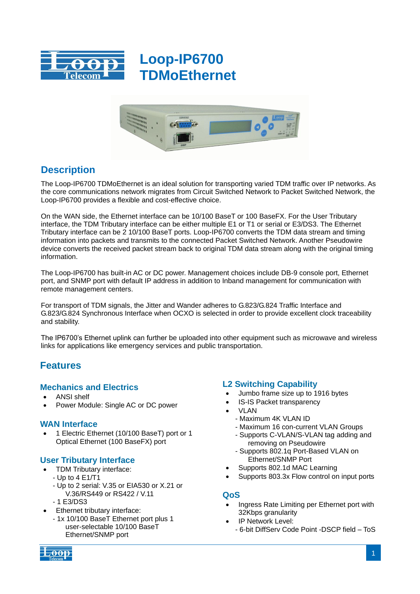



# **Description**

The Loop-IP6700 TDMoEthernet is an ideal solution for transporting varied TDM traffic over IP networks. As the core communications network migrates from Circuit Switched Network to Packet Switched Network, the Loop-IP6700 provides a flexible and cost-effective choice.

On the WAN side, the Ethernet interface can be 10/100 BaseT or 100 BaseFX. For the User Tributary interface, the TDM Tributary interface can be either multiple E1 or T1 or serial or E3/DS3. The Ethernet Tributary interface can be 2 10/100 BaseT ports. Loop-IP6700 converts the TDM data stream and timing information into packets and transmits to the connected Packet Switched Network. Another Pseudowire device converts the received packet stream back to original TDM data stream along with the original timing information.

The Loop-IP6700 has built-in AC or DC power. Management choices include DB-9 console port, Ethernet port, and SNMP port with default IP address in addition to Inband management for communication with remote management centers.

For transport of TDM signals, the Jitter and Wander adheres to G.823/G.824 Traffic Interface and G.823/G.824 Synchronous Interface when OCXO is selected in order to provide excellent clock traceability and stability.

The IP6700's Ethernet uplink can further be uploaded into other equipment such as microwave and wireless links for applications like emergency services and public transportation.

## **Features**

## **Mechanics and Electrics**

- ANSI shelf
- Power Module: Single AC or DC power

#### **WAN Interface**

 1 Electric Ethernet (10/100 BaseT) port or 1 Optical Ethernet (100 BaseFX) port

## **User Tributary Interface**

- TDM Tributary interface:
- Up to 4 E1/T1
- Up to 2 serial: V.35 or EIA530 or X.21 or V.36/RS449 or RS422 / V.11
- 1 E3/DS3
- Ethernet tributary interface:
	- 1x 10/100 BaseT Ethernet port plus 1 user-selectable 10/100 BaseT Ethernet/SNMP port

## **L2 Switching Capability**

- Jumbo frame size up to 1916 bytes
- IS-IS Packet transparency
- VLAN
	- Maximum 4K VLAN ID
	- Maximum 16 con-current VLAN Groups
	- Supports C-VLAN/S-VLAN tag adding and removing on Pseudowire
	- Supports 802.1q Port-Based VLAN on Ethernet/SNMP Port
- Supports 802.1d MAC Learning
- Supports 803.3x Flow control on input ports

#### **QoS**

- Ingress Rate Limiting per Ethernet port with 32Kbps granularity
- IP Network Level:
	- 6-bit DiffServ Code Point -DSCP field ToS

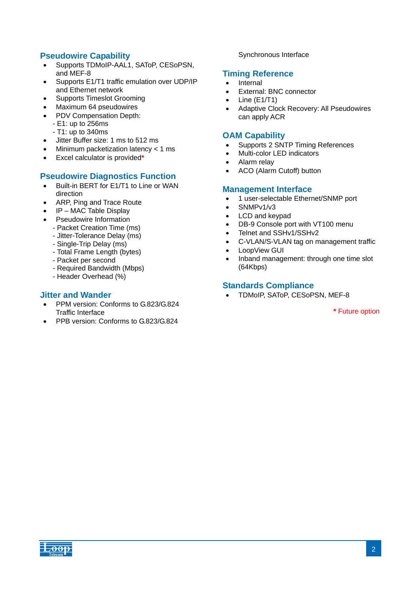## **Pseudowire Capability**

- Supports TDMoIP-AAL1, SAToP, CESoPSN, and MEF-8
- Supports E1/T1 traffic emulation over UDP/IP and Ethernet network
- Supports Timeslot Grooming
- Maximum 64 pseudowires
- PDV Compensation Depth:
	- E1: up to 256ms
	- T1: up to 340ms
- Jitter Buffer size: 1 ms to 512 ms
- Minimum packetization latency < 1 ms
- Excel calculator is provided**\***

## **Pseudowire Diagnostics Function**

- Built-in BERT for E1/T1 to Line or WAN direction
- ARP, Ping and Trace Route
- IP MAC Table Display
- Pseudowire Information
	- Packet Creation Time (ms)
	- Jitter-Tolerance Delay (ms)
	- Single-Trip Delay (ms)
	- Total Frame Length (bytes)
	- Packet per second
	- Required Bandwidth (Mbps)
	- Header Overhead (%)

#### **Jitter and Wander**

- PPM version: Conforms to G.823/G.824 Traffic Interface
- PPB version: Conforms to G.823/G.824

#### Synchronous Interface

#### **Timing Reference**

- Internal
- External: BNC connector
- $\bullet$  Line (E1/T1)
- Adaptive Clock Recovery: All Pseudowires can apply ACR

#### **OAM Capability**

- Supports 2 SNTP Timing References
- Multi-color LED indicators
- Alarm relay
- ACO (Alarm Cutoff) button

#### **Management Interface**

- 1 user-selectable Ethernet/SNMP port
- $\bullet$  SNMPv1/v3
- LCD and keypad
- DB-9 Console port with VT100 menu
- Telnet and SSHv1/SSHv2
- C-VLAN/S-VLAN tag on management traffic
- LoopView GUI
- Inband management: through one time slot (64Kbps)

#### **Standards Compliance**

TDMoIP, SAToP, CESoPSN, MEF-8

**\*** Future option

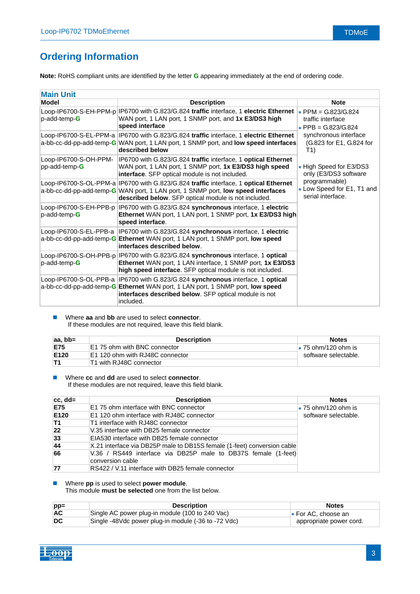# **Ordering Information**

**Note:** RoHS compliant units are identified by the letter **G** appearing immediately at the end of ordering code.

| <b>Main Unit</b>                       |                                                                                                                                                                                                                                         |                                                                                                        |  |
|----------------------------------------|-----------------------------------------------------------------------------------------------------------------------------------------------------------------------------------------------------------------------------------------|--------------------------------------------------------------------------------------------------------|--|
| Model                                  | <b>Description</b>                                                                                                                                                                                                                      | <b>Note</b>                                                                                            |  |
| p-add-temp-G                           | Loop-IP6700-S-EH-PPM-p IP6700 with G.823/G.824 traffic interface, 1 electric Ethernet   PPM = G.823/G.824<br>WAN port, 1 LAN port, 1 SNMP port, and 1x E3/DS3 high<br>speed interface                                                   | traffic interface<br>• PPB = $G.823/G.824$<br>synchronous interface<br>(G.823 for E1, G.824 for<br>T1) |  |
|                                        | Loop-IP6700-S-EL-PPM-a  IP6700 with G.823/G.824 traffic interface, 1 electric Ethernet<br>a-bb-cc-dd-pp-add-temp-G WAN port, 1 LAN port, 1 SNMP port, and low speed interfaces<br>described below                                       |                                                                                                        |  |
| Loop-IP6700-S-OH-PPM-<br>pp-add-temp-G | IP6700 with G.823/G.824 traffic interface, 1 optical Ethernet<br>WAN port, 1 LAN port, 1 SNMP port, 1x E3/DS3 high speed<br>interface. SFP optical module is not included.                                                              | • High Speed for E3/DS3<br>only (E3/DS3 software                                                       |  |
|                                        | Loop-IP6700-S-OL-PPM-a IP6700 with G.823/G.824 traffic interface, 1 optical Ethernet<br>a-bb-cc-dd-pp-add-temp-G WAN port, 1 LAN port, 1 SNMP port, low speed interfaces<br>described below. SFP optical module is not included.        | programmable)<br>• Low Speed for E1, T1 and<br>serial interface.                                       |  |
| Loop-IP6700-S-EH-PPB-p<br>p-add-temp-G | IP6700 with G.823/G.824 synchronous interface, 1 electric<br>Ethernet WAN port, 1 LAN port, 1 SNMP port, 1x E3/DS3 high<br>speed interface.                                                                                             |                                                                                                        |  |
|                                        | Loop-IP6700-S-EL-PPB-a IP6700 with G.823/G.824 synchronous interface, 1 electric<br>a-bb-cc-dd-pp-add-temp-G Ethernet WAN port, 1 LAN port, 1 SNMP port, low speed<br>interfaces described below.                                       |                                                                                                        |  |
| p-add-temp-G                           | Loop-IP6700-S-OH-PPB-p IP6700 with G.823/G.824 synchronous interface, 1 optical<br>Ethernet WAN port, 1 LAN interface, 1 SNMP port, 1x E3/DS3<br>high speed interface. SFP optical module is not included.                              |                                                                                                        |  |
|                                        | Loop-IP6700-S-OL-PPB-a IP6700 with G.823/G.824 synchronous interface, 1 optical<br>a-bb-cc-dd-pp-add-temp-G Ethernet WAN port, 1 LAN port, 1 SNMP port, low speed<br>interfaces described below. SFP optical module is not<br>included. |                                                                                                        |  |

#### Where **aa** and **bb** are used to select **connector**. If these modules are not required, leave this field blank.

| $ aa, bb=$ | <b>Description</b>                  | <b>Notes</b>                |
|------------|-------------------------------------|-----------------------------|
| <b>E75</b> | <b>E1 75 ohm with BNC connector</b> | $\bullet$ 75 ohm/120 ohm is |
| E120       | E1 120 ohm with RJ48C connector     | software selectable.        |
| IT1        | T1 with RJ48C connector             |                             |

 Where **cc** and **dd** are used to select **connector**. If these modules are not required, leave this field blank.

| $ cc, dd=$ | <b>Description</b>                                                                 | <b>Notes</b>                |
|------------|------------------------------------------------------------------------------------|-----------------------------|
| <b>E75</b> | E1 75 ohm interface with BNC connector                                             | $\bullet$ 75 ohm/120 ohm is |
| E120       | E1 120 ohm interface with RJ48C connector                                          | software selectable.        |
| T1         | T1 interface with RJ48C connector                                                  |                             |
| 22         | V.35 interface with DB25 female connector                                          |                             |
| 33         | EIA530 interface with DB25 female connector                                        |                             |
| 44         | X.21 interface via DB25P male to DB15S female (1-feet) conversion cable            |                             |
| 66         | V.36 / RS449 interface via DB25P male to DB37S female (1-feet)<br>conversion cable |                             |
| 77         | RS422 / V.11 interface with DB25 female connector                                  |                             |

#### Where **pp** is used to select **power module**.

This module **must be selected** one from the list below.

| $pp =$                    | <b>Description</b>                                  | <b>Notes</b>                |
|---------------------------|-----------------------------------------------------|-----------------------------|
| AC                        | Single AC power plug-in module (100 to 240 Vac)     | $\bullet$ For AC, choose an |
| $\overline{\mathsf{D}}$ C | Single -48Vdc power plug-in module (-36 to -72 Vdc) | appropriate power cord.     |

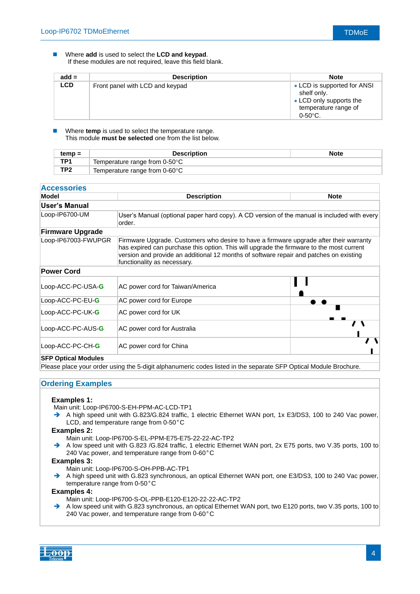#### Where **add** is used to select the **LCD and keypad**. If these modules are not required, leave this field blank.

| $add =$    | <b>Description</b>              | <b>Note</b>                                                                                                          |
|------------|---------------------------------|----------------------------------------------------------------------------------------------------------------------|
| <b>LCD</b> | Front panel with LCD and keypad | • LCD is supported for ANSI<br>shelf only.<br>• LCD only supports the<br>temperature range of<br>$0 - 50^{\circ}$ C. |

 Where **temp** is used to select the temperature range. This module **must be selected** one from the list below.

| $temp =$        | <b>Description</b>                         | <b>Note</b> |
|-----------------|--------------------------------------------|-------------|
| TP1             | Temperature range from $0\n-50^{\circ}$ C  |             |
| TP <sub>2</sub> | Temperature range from $0$ -60 $\degree$ C |             |

| Model                   | <b>Description</b><br><b>Note</b>                                                                                                                                                                                                                                                                           |  |  |  |
|-------------------------|-------------------------------------------------------------------------------------------------------------------------------------------------------------------------------------------------------------------------------------------------------------------------------------------------------------|--|--|--|
| User's Manual           |                                                                                                                                                                                                                                                                                                             |  |  |  |
| Loop-IP6700-UM          | User's Manual (optional paper hard copy). A CD version of the manual is included with every<br>order.                                                                                                                                                                                                       |  |  |  |
| <b>Firmware Upgrade</b> |                                                                                                                                                                                                                                                                                                             |  |  |  |
| Loop-IP67003-FWUPGR     | Firmware Upgrade. Customers who desire to have a firmware upgrade after their warranty<br>has expired can purchase this option. This will upgrade the firmware to the most current<br>version and provide an additional 12 months of software repair and patches on existing<br>functionality as necessary. |  |  |  |
| <b>Power Cord</b>       |                                                                                                                                                                                                                                                                                                             |  |  |  |
| Loop-ACC-PC-USA-G       | AC power cord for Taiwan/America                                                                                                                                                                                                                                                                            |  |  |  |
| Loop-ACC-PC-EU-G        | AC power cord for Europe                                                                                                                                                                                                                                                                                    |  |  |  |
| Loop-ACC-PC-UK-G        | AC power cord for UK                                                                                                                                                                                                                                                                                        |  |  |  |
| Loop-ACC-PC-AUS-G       | AC power cord for Australia                                                                                                                                                                                                                                                                                 |  |  |  |
| Loop-ACC-PC-CH-G        | AC power cord for China                                                                                                                                                                                                                                                                                     |  |  |  |

Please place your order using the 5-digit alphanumeric codes listed in the separate SFP Optical Module Brochure.

#### **Ordering Examples**

#### **Examples 1:**

- Main unit: Loop-IP6700-S-EH-PPM-AC-LCD-TP1
- A high speed unit with G.823/G.824 traffic, 1 electric Ethernet WAN port, 1x E3/DS3, 100 to 240 Vac power, LCD, and temperature range from 0-50°C

#### **Examples 2:**

- Main unit: Loop-IP6700-S-EL-PPM-E75-E75-22-22-AC-TP2
- A low speed unit with G.823 /G.824 traffic, 1 electric Ethernet WAN port, 2x E75 ports, two V.35 ports, 100 to 240 Vac power, and temperature range from 0-60°C

#### **Examples 3:**

- Main unit: Loop-IP6700-S-OH-PPB-AC-TP1
- A high speed unit with G.823 synchronous, an optical Ethernet WAN port, one E3/DS3, 100 to 240 Vac power, temperature range from 0-50°C

#### **Examples 4:**

Main unit: Loop-IP6700-S-OL-PPB-E120-E120-22-22-AC-TP2

A low speed unit with G.823 synchronous, an optical Ethernet WAN port, two E120 ports, two V.35 ports, 100 to 240 Vac power, and temperature range from 0-60°C

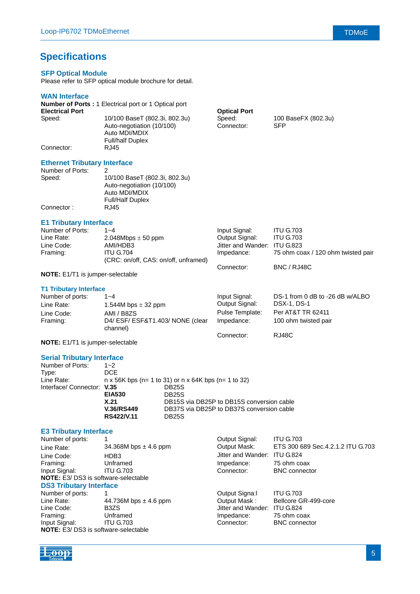# **Specifications**

#### **SFP Optical Module**

Please refer to SFP optical module brochure for detail.

#### **WAN Interface**

| <b>TENT HILDI KUG</b>               |                                                                                                        |                      |                                   |
|-------------------------------------|--------------------------------------------------------------------------------------------------------|----------------------|-----------------------------------|
|                                     | <b>Number of Ports: 1 Electrical port or 1 Optical port</b>                                            |                      |                                   |
| <b>Electrical Port</b>              |                                                                                                        | <b>Optical Port</b>  |                                   |
| Speed:                              | 10/100 BaseT (802.3i, 802.3u)<br>Auto-negotiation (10/100)<br>Auto MDI/MDIX<br><b>Full/half Duplex</b> | Speed:<br>Connector: | 100 BaseFX (802.3u)<br><b>SFP</b> |
| Connector:                          | RJ45                                                                                                   |                      |                                   |
| <b>Ethernet Tributary Interface</b> |                                                                                                        |                      |                                   |
| Number of Ports:                    | 2                                                                                                      |                      |                                   |
| Speed:                              | 10/100 BaseT (802.3i, 802.3u)<br>Auto-negotiation (10/100)<br>Auto MDI/MDIX<br><b>Full/Half Duplex</b> |                      |                                   |
| Connector:                          | RJ45                                                                                                   |                      |                                   |
| <b>E1 Tributary Interface</b>       |                                                                                                        |                      |                                   |
| Number of Ports:                    | $1 - 4$                                                                                                | Input Signal:        | <b>ITU G.703</b>                  |
|                                     |                                                                                                        |                      |                                   |

| Line Rate: | $2.048Mbps \pm 50$ ppm               | Output Signal:               | <b>ITU G.703</b>                   |
|------------|--------------------------------------|------------------------------|------------------------------------|
| Line Code: | AMI/HDB3                             | Jitter and Wander: ITU G.823 |                                    |
| Framing:   | <b>ITU G.704</b>                     | Impedance:                   | 75 ohm coax / 120 ohm twisted pair |
|            | (CRC: on/off, CAS: on/off, unframed) |                              |                                    |
|            |                                      | Connector:                   | BNC / RJ48C                        |

**NOTE:** E1/T1 is jumper-selectable

#### **T1 Tributary Interface**

| Number of ports: | $1 - 4$                                      | Input Signal:   | DS-1 from 0 dB to -26 dB w/ALBO |
|------------------|----------------------------------------------|-----------------|---------------------------------|
| Line Rate:       | 1.544M bps $\pm$ 32 ppm                      | Output Signal:  | DSX-1, DS-1                     |
| Line Code:       | AMI / B8ZS                                   | Pulse Template: | Per AT&T TR 62411               |
| Framing:         | D4/ ESF/ ESF&T1.403/ NONE (clear<br>channel) | Impedance:      | 100 ohm twisted pair            |
|                  |                                              | Connector:      | <b>RJ48C</b>                    |

**NOTE:** E1/T1 is jumper-selectable

#### **Serial Tributary Interface**

| Number of Ports:           | $1 - 2$                                                            |                                           |  |
|----------------------------|--------------------------------------------------------------------|-------------------------------------------|--|
| Type:                      | DCE.                                                               |                                           |  |
| Line Rate:                 | $n \times 56K$ bps (n= 1 to 31) or $n \times 64K$ bps (n= 1 to 32) |                                           |  |
| Interface/ Connector: V.35 |                                                                    | DB <sub>25</sub> S                        |  |
|                            | <b>EIA530</b><br><b>DB25S</b>                                      |                                           |  |
|                            | X.21                                                               | DB15S via DB25P to DB15S conversion cable |  |
|                            | <b>V.36/RS449</b>                                                  | DB37S via DB25P to DB37S conversion cable |  |
|                            | RS422/V.11                                                         | <b>DB25S</b>                              |  |
|                            |                                                                    |                                           |  |

#### **E3 Tributary Interface**

| Number of ports:                            |                               | Output Signal:     | <b>ITU G.703</b>                     |  |
|---------------------------------------------|-------------------------------|--------------------|--------------------------------------|--|
| Line Rate:                                  | 34.368M bps $\pm$ 4.6 ppm     | Output Mask:       | ETS 300 689 Sec. 4.2. 1.2 ITU G. 703 |  |
| Line Code:                                  | HDB3                          | Jitter and Wander: | <b>ITU G.824</b>                     |  |
| Framing:                                    | Unframed                      | Impedance:         | 75 ohm coax                          |  |
| Input Signal:                               | <b>ITU G.703</b>              | Connector:         | <b>BNC</b> connector                 |  |
| <b>NOTE:</b> E3/ DS3 is software-selectable |                               |                    |                                      |  |
| <b>DS3 Tributary Interface</b>              |                               |                    |                                      |  |
| Number of ports:                            |                               | Output Signa:      | <b>ITU G.703</b>                     |  |
| Line Rate:                                  | 44.736M bps $\pm$ 4.6 ppm     | Output Mask:       | Bellcore GR-499-core                 |  |
| Line Code:                                  | B <sub>3</sub> Z <sub>S</sub> | Jitter and Wander: | <b>ITU G.824</b>                     |  |
| Framing:                                    | Unframed                      | Impedance:         | 75 ohm coax                          |  |
| Input Signal:                               | <b>ITU G.703</b>              | Connector:         | <b>BNC</b> connector                 |  |
| <b>NOTE:</b> E3/ DS3 is software-selectable |                               |                    |                                      |  |

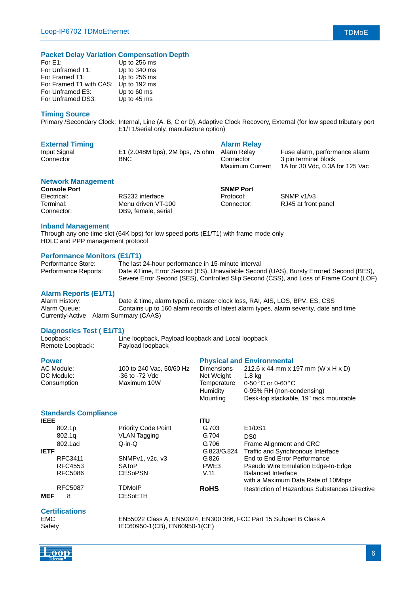| Up to 256 ms                         |
|--------------------------------------|
| Up to 340 ms                         |
| Up to 256 ms                         |
| For Framed T1 with CAS: Up to 192 ms |
| Up to 60 ms                          |
| Up to 45 ms                          |
|                                      |

#### **Timing Source**

Primary /Secondary Clock: Internal, Line (A, B, C or D), Adaptive Clock Recovery, External (for low speed tributary port E1/T1/serial only, manufacture option)

| <b>External Timing</b> |                                             | <b>Alarm Relay</b>     |                                 |
|------------------------|---------------------------------------------|------------------------|---------------------------------|
| Input Signal           | E1 (2.048M bps), 2M bps, 75 ohm Alarm Relay |                        | Fuse alarm, performance alarm   |
| Connector              | BNC.                                        | Connector              | 3 pin terminal block            |
|                        |                                             | <b>Maximum Current</b> | 1A for 30 Vdc, 0.3A for 125 Vac |

#### **Network Management**

| <b>Console Port</b> |                     | <b>SNMP Port</b> |                     |
|---------------------|---------------------|------------------|---------------------|
| Electrical:         | RS232 interface     | Protocol:        | SNMP $v1/v3$        |
| Terminal:           | Menu driven VT-100  | Connector:       | RJ45 at front panel |
| Connector:          | DB9. female. serial |                  |                     |

#### **Inband Management**

Through any one time slot (64K bps) for low speed ports (E1/T1) with frame mode only HDLC and PPP management protocol

#### **Performance Monitors (E1/T1)**

| Performance Store:   | The last 24-hour performance in 15-minute interval                                     |
|----------------------|----------------------------------------------------------------------------------------|
| Performance Reports: | Date & Time, Error Second (ES), Unavailable Second (UAS), Bursty Errored Second (BES), |
|                      | Severe Error Second (SES), Controlled Slip Second (CSS), and Loss of Frame Count (LOF) |

#### **Alarm Reports (E1/T1)**

| Alarm History: | Date & time, alarm type(i.e. master clock loss, RAI, AIS, LOS, BPV, ES, CSS           |
|----------------|---------------------------------------------------------------------------------------|
| Alarm Queue:   | Contains up to 160 alarm records of latest alarm types, alarm severity, date and time |
|                | Currently-Active Alarm Summary (CAAS)                                                 |

#### **Diagnostics Test ( E1/T1)**

| Loopback:        | Line loopback, Payload loopback and Local loopback |
|------------------|----------------------------------------------------|
| Remote Loopback: | Payload loopback                                   |

#### **Power Physical and Environmental**

| AC Module:  | 100 to 240 Vac, 50/60 Hz | <b>Dimensions</b> | 212.6 x 44 mm x 197 mm (W x H x D)              |
|-------------|--------------------------|-------------------|-------------------------------------------------|
| DC Module:  | -36 to -72 Vdc           | Net Weight        | 1.8 ka                                          |
| Consumption | Maximum 10W              |                   | Temperature $0.50\degree$ C or 0-60 $\degree$ C |
|             |                          | Humidity          | 0-95% RH (non-condensing)                       |
|             |                          | Mountina          | Desk-top stackable, 19" rack mountable          |

#### **Standards Compliance**

| <b>IEEE</b> |                |                            | ITU         |                                                      |
|-------------|----------------|----------------------------|-------------|------------------------------------------------------|
|             | 802.1p         | <b>Priority Code Point</b> | G.703       | E1/DS1                                               |
|             | 802.1g         | <b>VLAN Tagging</b>        | G.704       | DS <sub>0</sub>                                      |
|             | 802.1ad        | $Q-in-Q$                   | G.706       | Frame Alignment and CRC                              |
| <b>IETF</b> |                |                            | G.823/G.824 | Traffic and Synchronous Interface                    |
|             | RFC3411        | SNMPv1, v2c, v3            | G.826       | End to End Error Performance                         |
|             | RFC4553        | <b>SATOP</b>               | PWE3        | Pseudo Wire Emulation Edge-to-Edge                   |
|             | <b>RFC5086</b> | <b>CESOPSN</b>             | V.11        | Balanced Interface                                   |
|             |                |                            |             | with a Maximum Data Rate of 10Mbps                   |
|             | <b>RFC5087</b> | TDMoIP                     | <b>RoHS</b> | <b>Restriction of Hazardous Substances Directive</b> |
| <b>MEF</b>  | 8              | CESoETH                    |             |                                                      |

#### **Certifications**

EMC EN55022 Class A, EN50024, EN300 386, FCC Part 15 Subpart B Class A Safety IEC60950-1(CB), EN60950-1(CE)

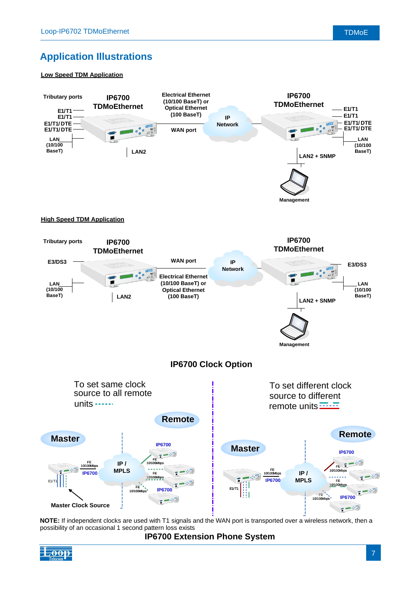# **Application Illustrations**

#### **Low Speed TDM Application**



**NOTE:** If independent clocks are used with T1 signals and the WAN port is transported over a wireless network, then a possibility of an occasional 1 second pattern loss exists

**IP6700 Extension Phone System**